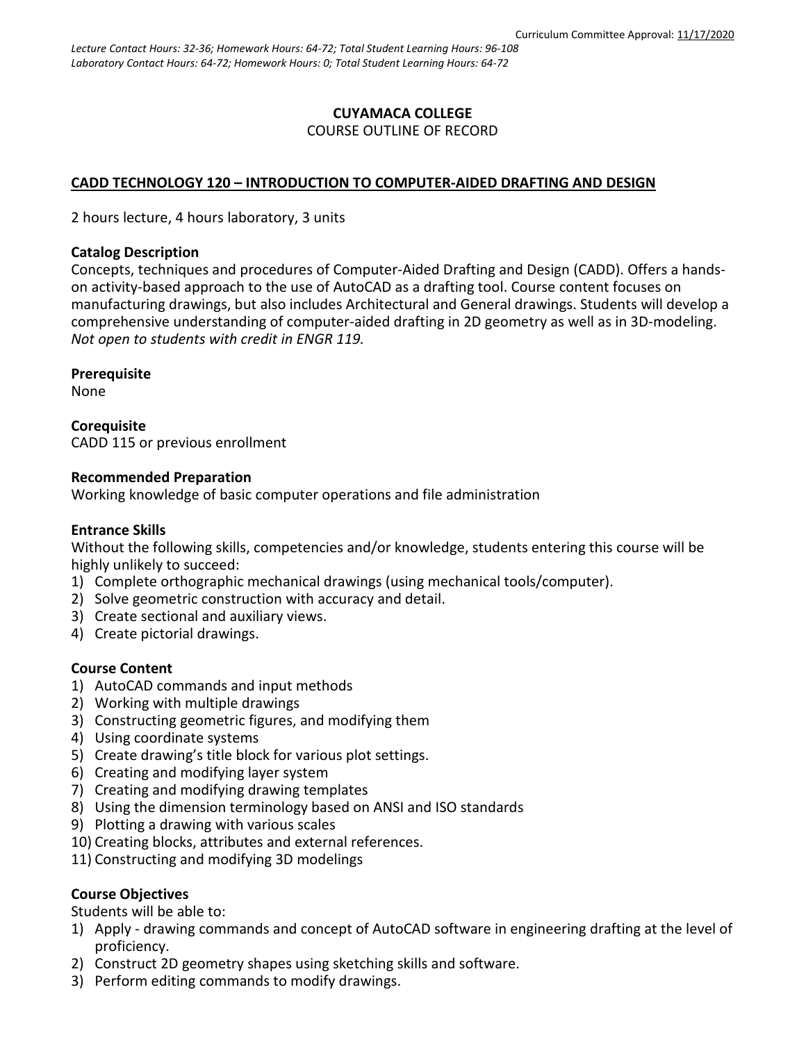## **CUYAMACA COLLEGE** COURSE OUTLINE OF RECORD

# **CADD TECHNOLOGY 120 – INTRODUCTION TO COMPUTER-AIDED DRAFTING AND DESIGN**

2 hours lecture, 4 hours laboratory, 3 units

## **Catalog Description**

Concepts, techniques and procedures of Computer-Aided Drafting and Design (CADD). Offers a handson activity-based approach to the use of AutoCAD as a drafting tool. Course content focuses on manufacturing drawings, but also includes Architectural and General drawings. Students will develop a comprehensive understanding of computer-aided drafting in 2D geometry as well as in 3D-modeling. *Not open to students with credit in ENGR 119.*

## **Prerequisite**

None

**Corequisite** CADD 115 or previous enrollment

## **Recommended Preparation**

Working knowledge of basic computer operations and file administration

## **Entrance Skills**

Without the following skills, competencies and/or knowledge, students entering this course will be highly unlikely to succeed:

- 1) Complete orthographic mechanical drawings (using mechanical tools/computer).
- 2) Solve geometric construction with accuracy and detail.
- 3) Create sectional and auxiliary views.
- 4) Create pictorial drawings.

# **Course Content**

- 1) AutoCAD commands and input methods
- 2) Working with multiple drawings
- 3) Constructing geometric figures, and modifying them
- 4) Using coordinate systems
- 5) Create drawing's title block for various plot settings.
- 6) Creating and modifying layer system
- 7) Creating and modifying drawing templates
- 8) Using the dimension terminology based on ANSI and ISO standards
- 9) Plotting a drawing with various scales
- 10) Creating blocks, attributes and external references.
- 11) Constructing and modifying 3D modelings

# **Course Objectives**

Students will be able to:

- 1) Apply drawing commands and concept of AutoCAD software in engineering drafting at the level of proficiency.
- 2) Construct 2D geometry shapes using sketching skills and software.
- 3) Perform editing commands to modify drawings.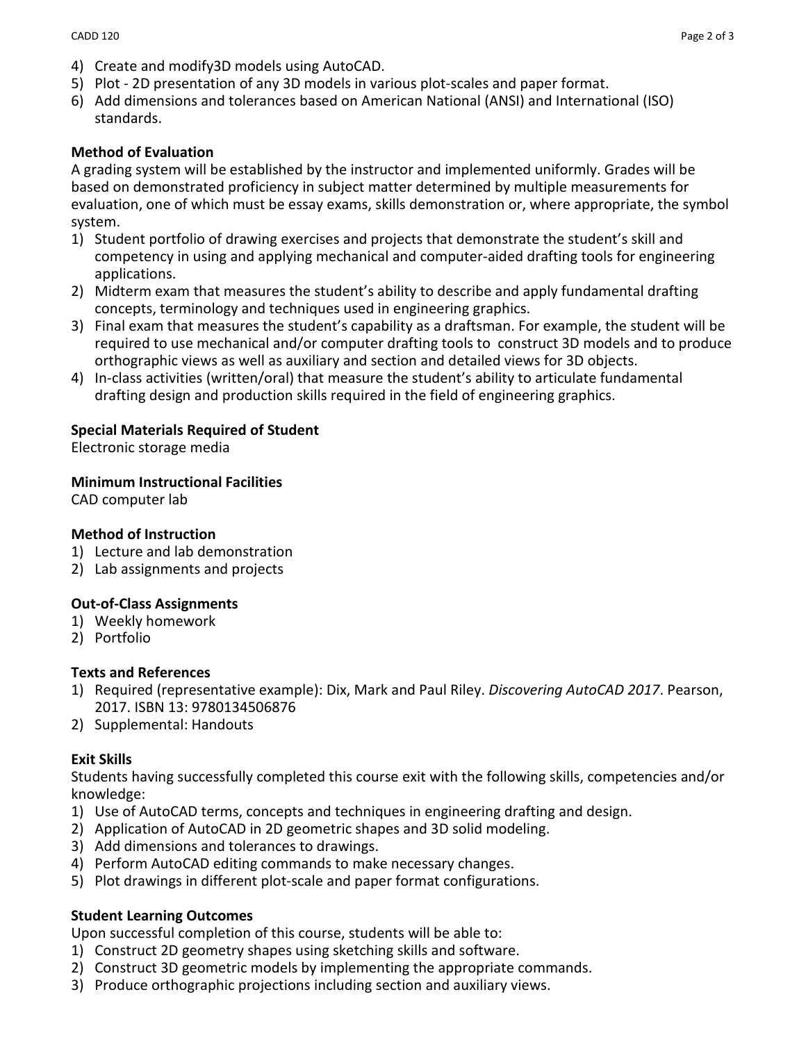- 4) Create and modify3D models using AutoCAD.
- 5) Plot 2D presentation of any 3D models in various plot-scales and paper format.
- 6) Add dimensions and tolerances based on American National (ANSI) and International (ISO) standards.

### **Method of Evaluation**

A grading system will be established by the instructor and implemented uniformly. Grades will be based on demonstrated proficiency in subject matter determined by multiple measurements for evaluation, one of which must be essay exams, skills demonstration or, where appropriate, the symbol system.

- 1) Student portfolio of drawing exercises and projects that demonstrate the student's skill and competency in using and applying mechanical and computer-aided drafting tools for engineering applications.
- 2) Midterm exam that measures the student's ability to describe and apply fundamental drafting concepts, terminology and techniques used in engineering graphics.
- 3) Final exam that measures the student's capability as a draftsman. For example, the student will be required to use mechanical and/or computer drafting tools to construct 3D models and to produce orthographic views as well as auxiliary and section and detailed views for 3D objects.
- 4) In-class activities (written/oral) that measure the student's ability to articulate fundamental drafting design and production skills required in the field of engineering graphics.

### **Special Materials Required of Student**

Electronic storage media

#### **Minimum Instructional Facilities**

CAD computer lab

#### **Method of Instruction**

- 1) Lecture and lab demonstration
- 2) Lab assignments and projects

## **Out-of-Class Assignments**

- 1) Weekly homework
- 2) Portfolio

### **Texts and References**

- 1) Required (representative example): Dix, Mark and Paul Riley. *Discovering AutoCAD 2017*. Pearson, 2017. ISBN 13: 9780134506876
- 2) Supplemental: Handouts

## **Exit Skills**

Students having successfully completed this course exit with the following skills, competencies and/or knowledge:

- 1) Use of AutoCAD terms, concepts and techniques in engineering drafting and design.
- 2) Application of AutoCAD in 2D geometric shapes and 3D solid modeling.
- 3) Add dimensions and tolerances to drawings.
- 4) Perform AutoCAD editing commands to make necessary changes.
- 5) Plot drawings in different plot-scale and paper format configurations.

## **Student Learning Outcomes**

Upon successful completion of this course, students will be able to:

- 1) Construct 2D geometry shapes using sketching skills and software.
- 2) Construct 3D geometric models by implementing the appropriate commands.
- 3) Produce orthographic projections including section and auxiliary views.